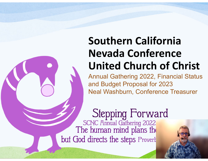## **Southern California Nevada ConferenceUnited Church of Christ**

Annual Gathering 2022, Financial Status and Budget Proposal for 2023 Neal Washburn, Conference Treasurer

Stepping Forward<br>SCNC Annual Gathering 2022<br>The human mind plans the but God directs the steps Provert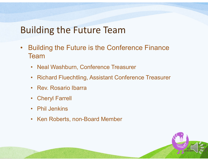### Building the Future Team

- $\bullet$  Building the Future is the Conference Finance Team
	- Neal Washburn, Conference Treasurer
	- $\bullet$ Richard Fluechtling, Assistant Conference Treasurer
	- Rev. Rosario Ibarra
	- $\bullet$ Cheryl Farrell
	- Phil Jenkins
	- Ken Roberts, non-Board Member

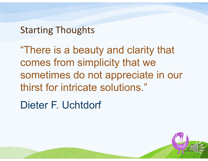### Starting Thoughts

"There is a beauty and clarity that comes from simplicity that we sometimes do not appreciate in our thirst for intricate solutions."

Dieter F. Uchtdorf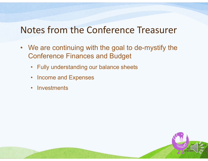### Notes from the Conference Treasurer

- We are continuing with the goal to de-mystify the Conference Finances and Budget
	- Fully understanding our balance sheets
	- Income and Expenses
	- Investments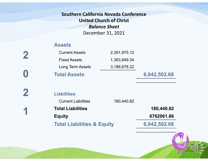### **Southern California Nevada Conference United Church of Christ** *Balance Sheet* December 31, 2021

#### **Assets**

**2** 

**1** 

| $\boldsymbol{0}$ | <b>Total Assets</b>   |              | 6,942,502.68 |
|------------------|-----------------------|--------------|--------------|
|                  | Long Term Assets      | 3,186,678.22 |              |
|                  | <b>Fixed Assets</b>   | 1,363,849.34 |              |
| 2                | <b>Current Assets</b> | 2,391,975.12 |              |

**Liabilities** Current Liabilities 180,440.82 **Total Liabilities 180,440.82 Equity 6762061.86 Total Liabilities & Equity 6,942,502.68**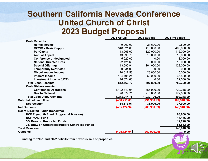### **Southern California Nevada Conference United Church of Christ 2023 Budget Proposal**

|                                                  | 2021 Actual   | 2022 Budget   | 2023 Proposed |
|--------------------------------------------------|---------------|---------------|---------------|
| <b>Cash Receipts</b>                             |               |               |               |
| <b>Rental Income</b>                             | 9,900.00      | 21,600.00     | 10,800.00     |
| <b>OCWM - Basic Support</b>                      | 348,621.66    | 418,000.00    | 400,000.00    |
| <b>Per Capita</b>                                | 113,966.00    | 120,000.00    | 115,000.00    |
| <b>Annual Appeal</b>                             | 13,095.75     | 15,000.00     | 15,000.00     |
| <b>Conference Undesignated</b>                   | 5,920.00      | 0.00          | 8,000.00      |
| <b>National Directed Gifts</b>                   | 22,121.63     | 5,000.00      | 10,000.00     |
| <b>Special Offerings</b>                         | 113,690.91    | 164,000.00    | 122,000.00    |
| <b>Temporarily Restricted</b>                    | 20,834.00     | 0.00          | 8,000.00      |
| <b>Miscellaneous Income</b>                      | 70,017.53     | 23,800.00     | 5,000.00      |
| <b>Interest Income</b>                           | 104,496.24    | 62,000.00     | 66,500.00     |
| <b>Investment Income (UCF)</b>                   | 16,874.63     | 0.00          | 22,000.00     |
| <b>Total Cash Receipts</b>                       | 812,763.72    | 807,800.00    | 782,300.00    |
| <b>Cash Disbursements</b>                        |               |               |               |
| <b>Conference Operations</b>                     | 1,102,340.04  | 866,900.99    | 720,248.00    |
| <b>Due to National</b>                           | 170,674.71    | 210,800.00    | 172,000.00    |
| <b>Total Cash Disbursements</b>                  | 1,273,014.75  | 1,039,700.99  | 892,248.00    |
| Subtotal net cash flow                           | (460, 251.03) | (231, 900.99) | (109, 948.00) |
| <b>Depreciation</b>                              | 34,873.91     | 38,000.00     | 37,000.00     |
| <b>Net Outcome</b>                               | (495, 124.94) | (269, 900.99) | (146, 948.00) |
| <b>Board Directed Funds (Reserves)</b>           |               |               |               |
| <b>UCF Plymouth Fund (Program &amp; Mission)</b> |               |               | 68,000.00     |
| <b>UCF MAD! Fund</b>                             |               |               | 13,166.00     |
| 3% Draw on Restricted Funds                      |               |               | 12,220.00     |
| 3% Draw on Unrestricted/Board Controlled Funds   |               |               | 53,562.00     |
| <b>Total Reserves</b>                            |               |               | 146,948.00    |
| <b>Outcome</b>                                   | (495, 124.94) | (269, 900.99) | 0.00          |

**Funding for 2021 and 2022 deficits from previous sale of properties**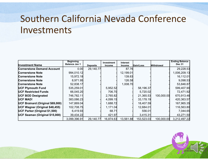### Southern California Nevada Conference Investments

| <b>Investment Name</b>            | <b>Beginning</b><br><b>Balance Jan 1</b> | <b>Deposits</b> | <b>Investment</b><br><b>Income</b> | <b>Interest</b><br><b>Income</b> | Gain/Loss  | <b>Withdrawal</b> | <b>Ending Balance</b><br><b>Dec 31</b> |
|-----------------------------------|------------------------------------------|-----------------|------------------------------------|----------------------------------|------------|-------------------|----------------------------------------|
| <b>Cornerstone Demand Account</b> | 0.00                                     | 29,140.77       |                                    | 87.76                            |            |                   | 29,228.53                              |
| <b>Cornerstone Note</b>           | 994,010.12                               |                 |                                    | 12,199.01                        |            |                   | 1,006,209.13                           |
| <b>Cornerstone Note</b>           | 15,972.18                                |                 |                                    | 139.83                           |            |                   | 16,112.01                              |
| <b>Cornerstone Note</b>           | 8,971.95                                 |                 |                                    | 126.58                           |            |                   | 9,098.53                               |
| <b>Cornerstone Note</b>           | 52,838.17                                |                 |                                    | 1,008.70                         |            |                   | 53,846.87                              |
| <b>UCF Plymouth Fund</b>          | 535,259.01                               |                 | 5,952.52                           |                                  | 58,196.37  |                   | 599,407.90                             |
| <b>UCF Restricted Funds</b>       | 66,045.20                                |                 | 706.70                             |                                  | 5,720.02   |                   | 72,471.92                              |
| <b>UCF BOD Designated</b>         | 746,782.11                               |                 | 2,765.82                           |                                  | 21,365.53  | 100,000.00        | 670,913.46                             |
| <b>UCF MAD!</b>                   | 383,086.23                               |                 | 4,099.15                           |                                  | 33,178.19  |                   | 420,363.57                             |
| UCF Brainard (Original \$69,000)  | 147,869.04                               |                 | 1,688.72                           |                                  | 18,407.59  |                   | 167,965.35                             |
| UCF Wagner (Original \$48,455)    | 102,708.75                               |                 | 1,171.04                           |                                  | 12,684.01  |                   | 116,563.80                             |
| UCF Parker (Original \$1,500)     | 6,419.93                                 |                 | 68.71                              |                                  | 556.01     |                   | 7,044.65                               |
| UCF Seaman (Original \$15,000)    | 39,434.22                                |                 | 421.97                             |                                  | 3,415.31   |                   | 43,271.50                              |
|                                   | 3,099,396.91                             | 29,140.77       | 16,874.63                          | 13,561.88                        | 153,523.03 | 100,000.00        | 3,212,497.22                           |

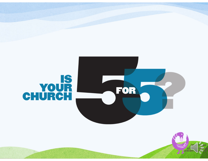# CHURCH



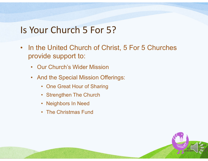### Is Your Church 5 For 5?

- In the United Church of Christ, 5 For 5 Churches provide support to:
	- Our Church's Wider Mission
	- And the Special Mission Offerings:
		- One Great Hour of Sharing
		- Strengthen The Church
		- Neighbors In Need
		- The Christmas Fund

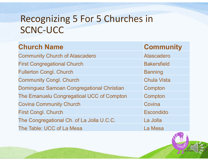| <b>Church Name</b>                               | <b>Community</b>   |
|--------------------------------------------------|--------------------|
| <b>Community Church of Atascadero</b>            | <b>Atascadero</b>  |
| <b>First Congregational Church</b>               | <b>Bakersfield</b> |
| <b>Fullerton Congl. Church</b>                   | <b>Banning</b>     |
| <b>Community Congl. Church</b>                   | <b>Chula Vista</b> |
| <b>Dominguez Samoan Congregational Christian</b> | Compton            |
| The Emanuelu Congregatioal UCC of Compton        | Compton            |
| <b>Covina Community Church</b>                   | Covina             |
| <b>First Congl. Church</b>                       | <b>Escondido</b>   |
| The Congregational Ch. of La Jolla U.C.C.        | La Jolla           |
| The Table: UCC of La Mesa                        | La Mesa            |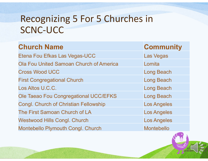| <b>Church Name</b>                             | <b>Community</b>   |
|------------------------------------------------|--------------------|
| Etena Fou Efkas Las Vegas-UCC                  | <b>Las Vegas</b>   |
| <b>Ola Fou United Samoan Church of America</b> | Lomita             |
| <b>Cross Wood UCC</b>                          | <b>Long Beach</b>  |
| <b>First Congregational Church</b>             | <b>Long Beach</b>  |
| Los Altos U.C.C.                               | <b>Long Beach</b>  |
| Ole Taeao Fou Congregational UCC/EFKS          | <b>Long Beach</b>  |
| <b>Congl. Church of Christian Fellowship</b>   | <b>Los Angeles</b> |
| The First Samoan Church of LA                  | <b>Los Angeles</b> |
| <b>Westwood Hills Congl. Church</b>            | <b>Los Angeles</b> |
| <b>Montebello Plymouth Congl. Church</b>       | <b>Montebello</b>  |

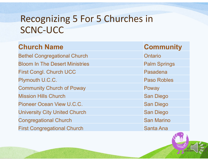| <b>Church Name</b>                    | <b>Community</b>    |
|---------------------------------------|---------------------|
| <b>Bethel Congregational Church</b>   | Ontario             |
| <b>Bloom In The Desert Ministries</b> | <b>Palm Springs</b> |
| <b>First Congl. Church UCC</b>        | Pasadena            |
| Plymouth U.C.C.                       | <b>Paso Robles</b>  |
| <b>Community Church of Poway</b>      | Poway               |
| <b>Mission Hills Church</b>           | <b>San Diego</b>    |
| Pioneer Ocean View U.C.C.             | <b>San Diego</b>    |
| <b>University City United Church</b>  | <b>San Diego</b>    |
| <b>Congregational Church</b>          | <b>San Marino</b>   |
| <b>First Congregational Church</b>    | <b>Santa Ana</b>    |

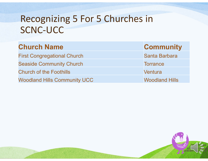| <b>Church Name</b> | <b>Community</b> |
|--------------------|------------------|
|                    |                  |

**First Congregational Church Seaside Community Church Church of the Foothills** Woodland Hills Community UCC Woodland Hills

| <b>Community</b> |
|------------------|
| Santa Barbara    |
| <b>Torrance</b>  |
| Ventura          |
|                  |



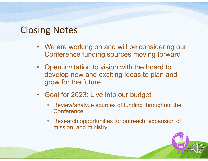### Closing Notes

- We are working on and will be considering our Conference funding sources moving forward
- Open invitation to vision with the board to develop new and exciting ideas to plan and grow for the future
- Goal for 2023: Live into our budget
	- $\bullet$  Review/analyze sources of funding throughout the **Conference**
	- Research opportunities for outreach, expansion of mission, and ministry